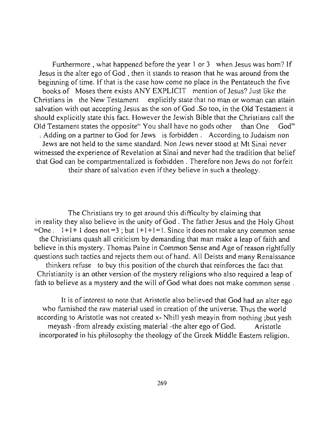Furthermore, what happened before the year 1 or 3 when Jesus was born? If Jesus is the alter ego of God , then it stands to reason that he was around from the beginning of time. If that is the case how come no place in the Pentateuch the five books of Moses there exists ANY EXPLICIT mention of Jesus? Just like the Christians in the New Testament explicitly state that no man or woman can attain salvation with out accepting Jesus as the son of God .So too, in the Old Testament it should explicitly state this fact. However the Jewish Bible that the Christians call the Old Testament states the opposite" You shall have no gods other than One God" . Adding on a partner to God for Jews is forbidden. According to Judaism non Jews are not held to the same standard. Non Jews never stood at Mt Sinai never witnessed the experience of Revelation at Sinai and never had the tradition that belief that God can be compartmentalized is forbidden. Therefore non Jews do not forfeit their share of salvation even if they believe in such a theology.

The Christians try to get around this difficulty by claiming that in reality they also believe in the unity of God . The father Jesus and the Holy Ghost  $=$ One.  $1+1+1$  does not  $=3$ ; but  $1+1+1=1$ . Since it does not make any common sense the Christians quash all criticism by demanding that man make a leap of faith and believe in this mystery. Thomas Paine in Common Sense and Age of reason rightfully questions such tactics and rejects them out of hand. All Deists and many Renaissance thinkers refuse to buy this position of the church that reinforces the fact that Christianity is an other version of the mystery religions who also required a leap of fath to believe as a mystery and the will of God what does not make common sense.

It is of interest to note that Aristotle also believed that God had an alter ego who furnished the raw material used in creation of the universe. Thus the world according to Aristotle was not created x- Nhill yesh meayin from nothing ;but yesh meyash -from already existing material -the alter ego of God. Aristotle incorporated in his philosophy the theology of the Greek Middle Eastern religion.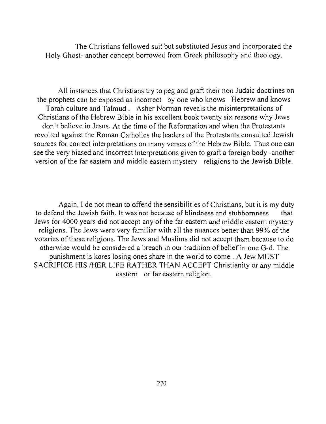The Christians followed suit but substituted Jesus and incorporated the Holy Ghost- another concept borrowed from Greek philosophy and theology.

All instances that Christians try to peg and graft their non Judaic doctrines on the prophets can be exposed as incorrect by one who knows Hebrew and knows Torah culture and Talmud . Asher Norman reveals the misinterpretations of Christians of the Hebrew Bible in his excellent book twenty six reasons why Jews don't believe in Jesus. At the time of the Reformation and when the Protestants revolted against the Roman Catholics the leaders of the Protestants consulted Jewish sources for correct interpretations on many verses of the Hebrew Bible. Thus one can see the very biased and incorrect interpretations given to graft a foreign body -another version of the far eastern and middle eastern mystery religions to the Jewish Bible.

Again, I do not mean to offend the sensibilities of Christians, but it is my duty to defend the Jewish faith. It was not because of blindness and stubbornness that Jews for 4000 years did not accept any of the far eastern and middle eastern mystery religions. The Jews were very familiar with all the nuances better than 99% of the votaries of these religions. The Jews and Muslims did not accept them because to do otherwise would be considered a breach in ourtradition of belief in one G-d. The punishment is kores losing ones share in the world to come. A Jew MUST SACRIFICE HIS /HER LIFE RATHER THAN ACCEPT Christianity or any middle eastern or far eastern religion.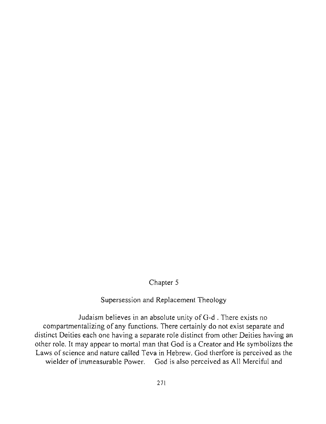# Chapter 5

## Supersession and Replacement Theology

Judaism believes in an absolute unity ofG-d . There exists no compartmentalizing of any functions. There certainly do not exist separate and distinct Deities each one having a separate role distinct from other Deities having an other role. It may appear to mortal man that God is a Creator and He symbolizes the Laws of science and nature called Teva in Hebrew. God therfore is perceived as the wielder of immeasurable Power. God is also perceived as All Merciful and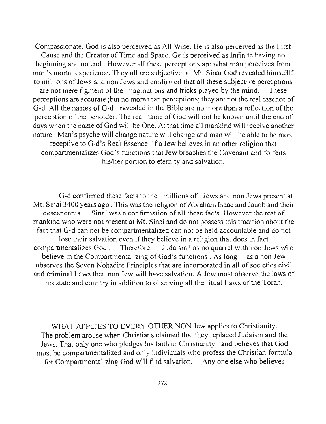Compassionate. God is also perceived as All Wise. He is also perceived as the First Cause and the Creator of Time and Space. Ge is perceived as Infinite having no beginning and no end. However all these perceptions are what man perceives from man's mortal experience. They all are subjective. at Mt. Sinai God revealed himse31f to millions of Jews and non Jews and confirmed that all these subjective perceptions are not mere figment of the imaginations and tricks played by the mind. These **perceptions are accurate ;but no more than perceptions; they are not the real essence of**  G-d. All the names ofG-d revealed in the Bible are no more than a reflection of the perception of the beholder. The real name of God will not be known until the end of days when the name of God will be One. At that time all mankind will receive another nature. Man's psyche will change nature will change and man will be able to be more receptive to G-d's Real Essence. If a Jew believes in an other religion that compartmentalizes God's functions that Jew breaches the Covenant and forfeits his/her portion to eternity and salvation.

G-d confirmed these facts to the millions of Jews and non Jews present at Mt. Sinai 3400 years ago. This was the religion of Abraham Isaac and Jacob and their **descendants. Sinai was a confinnation of all these facts. However the rest of**  mankind who were not present at Mt. Sinai and do not possess this tradition about the fact that G-d can not be compartmentalized can not be held accountable and do not lose their salvation even if they believe in a religion that does in fact compartmentalizes God. Therefore Judaism has no quarrel with non Jews who believe in the Compartmentalizing of God's functions. As long as a non Jew observes the Seven Nohadite Principles that are incorporated in all of societies civil and criminal Laws then non Jew will have salvation. A Jew must observe the laws of his state and country in addition to observing all the ritual Laws of the Torah.

WHAT APPLIES TO EVERY OTHER NON Jew applies to Christianity. The problem arouse when Christians claimed that they replaced Judaism and the Jews. That only one who pledges his faith in Christianity and believes that God must be compartmentalized and only individuals who profess the Christian formula for Compartmentalizing God will find salvation. Anyone else who believes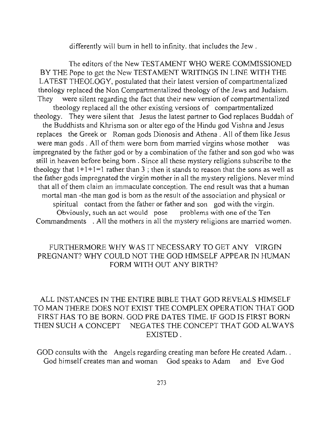differently will bum in hell to infinity. that includes the Jew.

The editors of the New TESTAMENT WHO WERE COMMISSIONED BY THE Pope to get the New TESTAMENT WRITINGS IN LINE WITH THE LA TEST THEOLOGY, postulated that their latest version of compartmentalized theology replaced the Non Compartmentalized theology of the Jews and Judaism. They were silent regarding the fact that their new version of compartmentalized theology replaced all the other existing versions of compartmentalized theology. They were silent that Jesus the latest partner to God replaces Buddah of the Buddhists and Khrisma son or alter ego of the Hindu god Vishna and Jesus replaces the Greek or Roman gods Dionosis and Athena. All of them like Jesus were man gods. All of them were born from married virgins whose mother was impregnated by the father god or by a combination of the father and son god who was still in heaven before being born. Since all these mystery religions subscribe to the theology that  $1+1+1=1$  rather than 3; then it stands to reason that the sons as well as the father gods impregnated the virgin mother in all the mystery religions. Never mind that all of them claim an immaculate conception. The end result was that a human mortal man -the man god is born as the result of the association and physical or spiritual contact from the father or father and son god with the virgin. **Obviously, such an act would pose problems with one** of the **Ten**  Commandments . All the mothers in all the mystery religions are married women.

#### FURTHERMORE WHY WAS IT NECESSARY TO GET ANY VIRGIN PREGNANT? WHY COULD NOT THE GOD HIMSELF APPEAR IN HUMAN FORM WITH OUT ANY BIRTH?

### ALL INSTANCES IN THE ENTIRE BIBLE THAT GOD REVEALS HIMSELF TO MAN THERE DOES NOT EXIST THE COMPLEX OPERATION THAT GOD FIRST HAS TO BE BORN. GOD PRE DATES TIME. IF GOD IS FIRST BORN THEN SUCH A CONCEPT NEGATES THE CONCEPT THAT GOD AL WAYS EXISTED.

GOD consults with the Angels regarding creating man before He created Adam... God himself creates man and woman God speaks to Adam and Eve God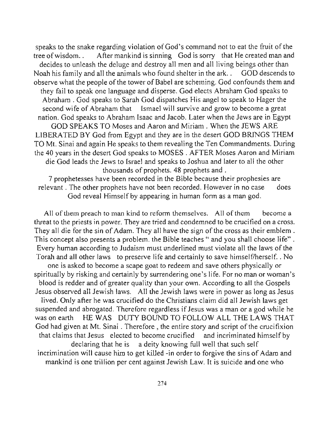speaks to the snake regarding violation of God's command not to eat the fruit of the tree of wisdom. . After mankind is sinning God is sorry that He created man and decides to unleash the deluge and destroy all men and all living beings other than Noah his family and all the animals who found shelter in the ark. . GOD descends to observe what the people of the tower of Babel are scheming. God confounds them and they fail to speak one language and disperse. God elects Abraham God speaks to Abraham. God speaks to Sarah God dispatches His angel to speak to Hager the second wife of Abraham that Ismael will survive and grow to become a great nation. God speaks to Abraham Isaac and Jacob. Later when the Jews are in Egypt GOD SPEAKS TO Moses and Aaron and Miriam. When the JEWS ARE LIBERATED BY God from Egypt and they are in the desert GOD BRINGS THEM TO Mt. Sinai and again He speaks to them revealing the Ten Commandments. During the 40 years in the desert God speaks to MOSES. AFTER Moses Aaron and Miriam die God leads the Jews to Israel and speaks to Joshua and later to all the other thousands of prophets. 48 prophets and.

7 prophetesses have been recorded in the Bible because their prophesies are relevant. The other prophets have not been recorded. However in no case does God reveal Himself by appearing in human form as a man god.

All of them preach to man kind to reform themselves. All of them become a threat to the priests in power. They are tried and condemned to be crucified on a cross. They all die for the sin of Adam. They all have the sign of the cross as their emblem . This concept also presents a problem. the Bible teaches " and you shall choose life". Every human according to Judaism must underlined must violate all the laws of the Torah and all other laws to preserve life and certainly to save himself/herself. . No one is asked to become a scape goat to redeem and save others physically or spiritually by risking and certainly by surrendering one's life. For no man or woman's blood is redder and of greater quality than your own. According to all the Gospels Jesus observed all Jewish laws. All the Jewish laws were in power as long as Jesus lived. Only after he was crucified do the Christians claim did all Jewish laws get suspended and abrogated. Therefore regardless if Jesus was a man or a god while he was on earth HE WAS DUTY BOUND TO FOLLOW ALL THE LAWS THAT God had given at Mt. Sinai. Therefore, the entire story and script of the crucifixion that claims that Jesus elected to become crucified and incriminated himself by declaring that he is a deity knowing full well that such self incrimination will cause him to get killed -in order to forgive the sins of Adam and mankind is one trillion per cent against Jewish Law. It is suicide and one who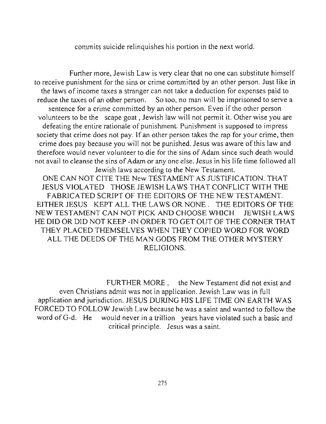commits suicide relinquishes his portion in the next world.

Further more, Jewish Law is very clear that no one can substitute himself to receive punishment for the sins or crime committed by an other person. Just like in the laws of income taxes a stranger can not take a deduction for expenses paid to reduce the taxes of an other person. So too, no man will be imprisoned to serve a sentence for a crime committed by an other person. Even if the other person volunteers to be the scape goat, Jewish law will not permit it. Other wise you are defeating the entire rationale of punishment. Punishment is supposed to impress society that crime does not pay. If an other person takes the rap for your crime, then crime does pay because you will not be punished. Jesus was aware of this law and therefore would never volunteer to die for the sins of Adam since such death would not avail to cleanse the sins of Adam or anyone else. Jesus in his life time followed all Jewish laws according to the New Testament.

ONE CAN NOT CITE THE New TESTAMENT AS JUSTIFICATION. THAT JESUS VIOLA TED THOSE JEWISH LAWS THAT CONFLICT WITH THE FABRICATED SCRIPT OF THE EDITORS OF THE NEW TESTAMENT. EITHER JESUS KEPT ALL THE LAWS OR NONE. THE EDITORS OF THE NEW TESTAMENT CAN NOT PICK AND CHOOSE WHICH JEWISH LAWS HE DID OR DID NOT KEEP -IN ORDER TO GET OUT OF THE CORNER THAT THEY PLACED THEMSELVES WHEN THEY COPIED WORD FOR WORD ALL THE DEEDS OF THE MAN GODS FROM THE OTHER MYSTERY RELIGIONS.

FURTHER MORE , the New Testament did not exist and even Christians admit was not in application. Jewish Law was in full application and jurisdiction. JESUS DURING HlS LIFE TIME ON EARTH WAS FORCED TO FOLLOW Jewish Law because he was a saint and wanted to follow the word of G-d. He would never in a trillion years have violated such a basic and **critical principle. Jesus was a saint.**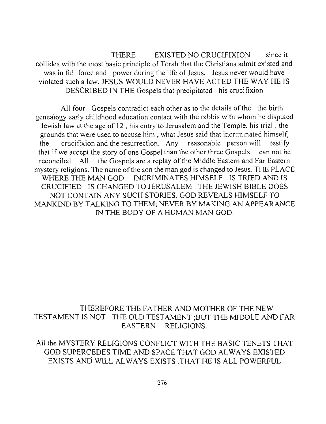THERE EXISTED NO CRUCLFIXION since it collides with the most basic principle of Torah that the Christians admit existed and was in full force and power during the life of Jesus. Jesus never would have violated such a law. JESUS WOULD NEVER HAVE ACTED THE WAY HE IS DESCRIDED IN THE Gospels that precipitated his crucifixion

All four Gospels contradict each other as to the details of the the birth genealogy early childhood education contact with the rabbis with whom he disputed Jewish law at the age of 12, his entry to Jerusalem and the Temple, his trial, the grounds that were used to accuse him, what Jesus said that incriminated himself, the crucifixion and the resurrection. Any reasonable person will testify that if we accept the story of one Gospel than the other three Gospels can not be reconciled. All the Gospels are a replay of the Middle Eastern and Far Eastern mystery religions. The name of the son the man god is changed to Jesus. THE PLACE WHERE THE MAN GOD INCRIMINATES HIMSELF IS TRIED AND IS CRUCIFIED IS CHANGED TO JERUSALEM. THE JEWlSH BIBLE DOES NOT CONTAIN ANY SUCH STORIES. GOD REVEALS HlMSELF TO MANKIND BY TALKING TO THEM; NEVER BY MAKING AN APPEARANCE IN THE BODY OF A HUMAN MAN GOD.

## THEREFORE THE FATHER AND MOTHER OF THE NEW TESTAMENT IS NOT THE OLD TESTAMENT ;BUT THE MlDDLE AND FAR EASTERN RELIGIONS.

All the MYSTERY RELIGIONS CONFLICT WITH THE BASIC TENETS THAT GOD SUPERCEDES TIME AND SPACE THAT GOD AL WAYS EXISTED EXISTS AND WILL ALWAYS EXISTS THAT HE IS ALL POWERFUL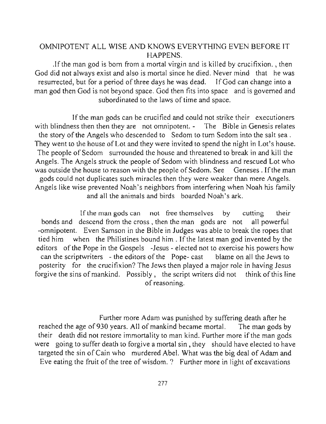#### OMNIPOTENT ALL WISE AND KNOWS EVERYTHING EVEN BEFORE IT HAPPENS.

.If the man god is born from a mortal virgin and is killed by crucifixion. , then God did not always exist and also is mortal since he died. Never mind that he was resurrected, but for a period of three days he was dead. If God can change into a man god then God is not beyond space. God then fits into space and is governed and subordinated to the laws of time and space.

If the man gods can be crucified and could not strike their executioners with blindness then then they are not omnipotent. - The Bible in Genesis relates the story of the Angels who descended to Sedom to tum Sedom into the salt sea. They went to the house of Lot and they were invited to spend the night in Lot's house. The people of Sedom surrounded the house and threatened to break in and kill the Angels. The Angels struck the people of Sedom with blindness and rescued Lot who was outside the house to reason with the people of Sedom. See Geneses. If the man gods could not duplicates such miracles then they were weaker than mere Angels. Angels like wise prevented Noah's neighbors from interfering when Noah his family and all the animals and birds boarded Noah's ark.

If the man gods can not free themselves by cutting their bonds and descend from the cross, then the man gods are not all powerful -omnipotent. Even Samson in the Bible in Judges was able to break the ropes that tied him when the Philistines bound him. If the latest man god invented by the editors of the Pope in the Gospels -Jesus - elected not to exercise his powers how can the scriptwriters - the editors of the Pope- cast blame on all the Jews to posterity for the crucifixion? The Jews then played a major role in having Jesus forgive the sins of mankind. Possibly, the script writers did not think of this line **of reasoning.** 

Further more Adam was punished by suffering death after he reached the age of 930 years. All of mankind became mortal. The man gods by their death did not restore immortality to man kind. Further more if the man gods were going to suffer death to forgive a mortal sin, they should have elected to have targeted the sin of Cain who murdered Abel. What was the big deal of Adam and Eve eating the fruit of the tree of wisdom. ? Further more in light of excavations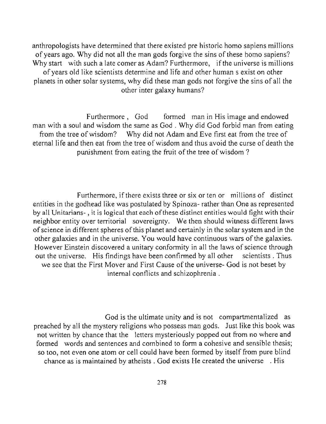anthropologists have determined that there existed pre historic homo sapiens millions of years ago. Why did not all the man gods forgive the sins of these homo sapiens? Why start with such a late comer as Adam? Furthermore, if the universe is millions of years old like scientists determine and life and other human s exist on other planets in other solar systems, why did these man gods not forgive the sins of *all* the other inter galaxy humans?

Furthermore, God formed man in His image and endowed man with a soul and wisdom the same as God. Why did God forbid man from eating from the tree of wisdom? Why did not Adam and Eve first eat from the tree of eternal life and then eat from the tree of wisdom and thus avoid the curse of death the punishment from eating the fruit of the tree of wisdom ?

Furthermore, if there exists three or six or ten or millions of distinct entities in the godhead like was postulated by Spinoza- rather than One as represented by all Unitarians- , it is logical that each of these distinct entities would fight with their neighbor entity over territorial sovereignty. We then should witness different laws of science in different spheres of this planet and certainly in the solar system and in the other galaxies and in the universe. You would have continuous wars of the galaxies. However Einstein discovered a unitary conformity in all the laws of science through out the universe. His findings have been confirmed by all other scientists. Thus we see that the First Mover and First Cause of the universe- God is not beset by internal conflicts and schizophrenia.

God is the ultimate unity and is not compartmentalized as preached by all the mystery religions who possess man gods. Just like this book was not written by chance that the letters mysteriously popped out from no where and formed words and sentences and combined to form a cohesive and sensible thesis; so too, not even one atom or cell could have been formed by itself from pure blind chance as is maintained by atheists . God exists He created the universe . His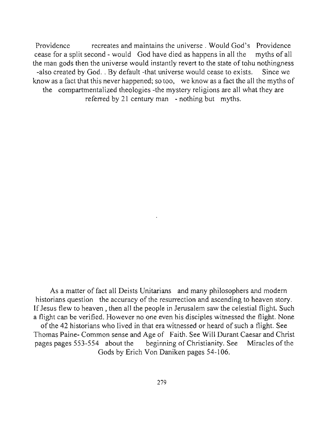**Providence recreates and maintains the universe. Would God's Providence**  cease for a split second - would God have died as happens in all the myths of all the man gods then the universe would instantly revert to the state of tohu nothingness -also created by God. . By default -that universe would cease to exists. Since we know as a fact that this never happened; so too, we know as a fact the all the myths of the compartmentalized theologies -the mystery religions are all what they are referred by 21 century man - nothing but myths.

As a matter of fact all Deists Unitarians and many philosophers and modem historians question the accuracy of the resurrection and ascending to heaven story. If Jesus flew to heaven , then all the people in Jerusalem saw the celestial flight. Such a flight can be verified. However no one even his disciples witnessed the flight. None of the 42 historians who lived in that era witnessed or heard of such a flight. See Thomas Paine- Common sense and Age of Faith. See Will Durant Caesar and Christ pages pages 553-554 about the beginning of Christianity. See Miracles of the Gods by Erich Von Daniken pages 54-106.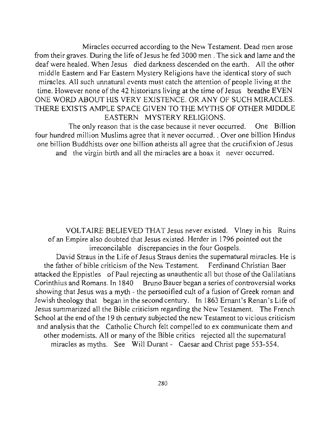Miracles occurred according to the New Testament. Dead men arose from their graves. During the life of Jesus he fed 3000 men. The sick and lame and the deaf were healed. When Jesus died darkness descended on the earth. All the other middle Eastern and Far Eastern Mystery Religions have the identical story of such miracles. All such unnatural events must catch the attention of people living at the time. However none of the 42 historians living at the time of Jesus breathe EVEN ONE WORD ABOUT HIS VERY EXISTENCE. OR ANY OF SUCH MIRACLES. THERE EXISTS AMPLE SPACE GIVEN TO THE MYTHS OF OTHER MIDDLE EASTERN MYSTERY RELIGIONS.

The only reason that is the case because it never occurred. One Billion four hundred million Muslims agree that it never occurred .. Over one billion Hindus one billion Buddhists over one billion atheists all agree that the crucifixion of Jesus and the virgin birth and all the miracles are a hoax it never occurred.

VOLTAIRE BELIEVED THAT Jesus never existed. VIney in his Ruins of an Empire also doubted that Jesus existed. Herder in 1796 pointed out the irreconcilable discrepancies in the four Gospels.

David Straus in the Life of Jesus Straus denies the supernatural miracles. He is the father of bible criticism of the New Testament. Ferdinand Christian Baer attacked the Eppistles of Paul rejecting as unauthentic all but those of the Galilatians Corinthius and Romans. In 1840 Bruno Bauer began a series of controversial works showing that Jesus was a myth - the personified cult of a fusion of Greek roman and Jewish theology that began in the second century. In 1863 Ernant's Renan's Life of Jesus summarized all the Bible criticism regarding the New Testament. The French School at the end of the 19 th century subjected the new Testament to vicious criticism and analysis that the Catholic Church felt compelled to ex communicate them and other modernists. All or many of the Bible critics rejected all the supernatural miracles as myths. See Will Durant - Caesar and Christ page 553-554.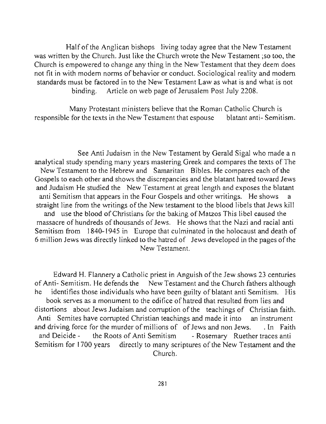Half of the Anglican bishops living today agree that the New Testament was written by the Church. Just like the Church wrote the New Testament ;so too, the Church is empowered to change any thing in the New Testament that they deem does not fit in with modem norms of behavior or conduct. Sociological reality and modem standards must be factored in to the New Testament Law as what is and what is not binding. Article on web page of Jerusalem Post July 2208.

Many Protestant ministers believe that the Roman Catholic Church is responsible for the texts in the New Testament that espouse blatant anti- Semitism.

See Anti Judaism in the New Testament by Gerald Sigal who made a n analytical study spending many years mastering Greek and compares the texts of The New Testament to the Hebrew and Samaritan Bibles. He compares each of the Gospels to each other and shows the discrepancies and the blatant hatred toward Jews and Judaism He studied the New Testament at great length and exposes the blatant anti Semitism that appears in the Four Gospels and other writings. He shows a straight line from the writings of the New testament to the blood libels that Jews kill and use the blood of Christians for the baking of Matzos This libel caused the massacre of hundreds of thousands of Jews. He shows that the Nazi and racial anti Semitism from 1840-1945 *in* Europe that culminated in the holocaust and death of 6 million Jews was directly linked to the hatred of Jews developed in the pages of the New Testament.

Edward H. Flannery a Catholic priest in Anguish of the Jew shows 23 centuries of Anti- Semitism. He defends the New Testament and the Church fathers although he identifies those individuals who have been guilty of blatant anti Semitism. His book serves as a monument to the edifice of hatred that resulted from lies and distortions about Jews Judaism and corruption of the teachings of Christian faith. Anti Semites have corrupted Christian teachings and made it into an instrument and driving force for the murder of millions of of Jews and non Jews. . In Faith and Deicide - the Roots of Anti Semitism - Rosemary Ruether traces anti Semitism for 1700 years directly to many scriptures of the New Testament and the Church.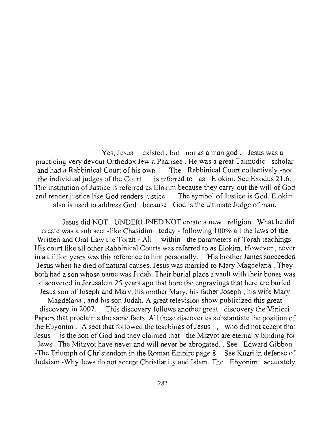**Yes, Jesus existed , but not as a man god . Jesus was a**  practicing very devout Orthodox Jew a Pharisee. He was a great Talmudic scholar and had a Rabbinical Court of his own. The Rabbinical Court collectively -not the individual judges of the Court is referred to as Elokim. See Exodus 21:6. The institution of Justice is referred as Elokim because they carry out the will of God and render justice like God renders justice. The symbol of Justice is God. Elokim also is used to address God because God is the ultimate Judge of man.

Jesus did NOT UNDERLINED NOT create a new religion. What he did create was a sub sect -like Chasidim today - following 100% all the laws of the Written and Oral Law the Torah - All within the parameters of Torah teachings. His court like all other Rabbinical Courts was referred to as Elokim. However , never in a trillion years was this reference to him personally. His brother James succeeded Jesus when he died of natural causes. Jesus was married to Mary Magdelana . They both had a son whose name was Judah. Their burial place a vault with their bones was discovered in Jerusalem 25 years ago that bore the engravings that here are buried Jesus son of Joseph and Mary, his mother Mary, his father Joseph, his wife Mary Magdelana , and his son Judah. A great television show publicized this great discovery in 2007. This discovery follows another great discovery the Vinicci Papers that proclaims the same facts. All these discoveries substantiate the position of the Ebyonim . -A sect that followed the teachings of Jesus , who did not accept that Jesus is the son of God and they claimed that the Mizvot are eternally binding for Jews. The Mitzvot have never and will never be abrogated .. See Edward Gibbon -The Triumph of Christendom in the Roman Empire page 8. See Kuzri in defense of Judaism -Why Jews do not accept Christianity and Islam. The Ebyonim accurately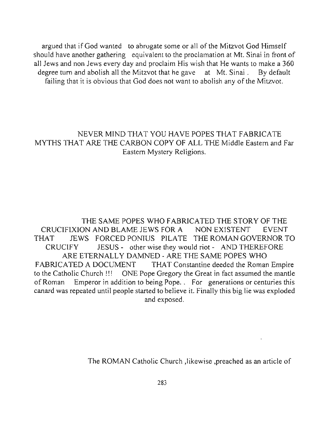argued that if God wanted to abrogate some or all of the Mitzvot God Himself should have another gathering equivalent to the proclamation at Mt. Sinai in front of all Jews and non Jews every day and proclaim His wish that He wants to make a 360 degree turn and abolish all the Mitzvot that he gave at Mt. Sinai. By default failing that it is obvious that God does not want to abolish any of the Mitzvot.

## NEVER MIND THAT YOU HAVE POPES THAT FABRICATE MYTHS THAT ARE THE CARBON COPY OF ALL THE Middle Eastern and Far Eastern Mystery Religions.

THE SAME POPES WHO FABRICATED THE STORY OF THE CRUCIFIXlON AND BLAME JEWS FOR A NON EXISTENT EVENT THAT JEWS FORCEDPONIUS PlLATE THE ROMAN GOVERNOR TO CRUClFY JESUS - other wise they would riot - AND THEREFORE ARE ETERNALLY DAMNED - ARE THE SAME POPES WHO FABRICATED A DOCUMENT THAT Constantine deeded the Roman Empire to the Catholic Church!!! ONE Pope Gregory the Great in fact assumed the mantle of Roman Emperor in addition to being Pope. . For generations or centuries this canard was repeated until people started to believe it. Finally this big lie was exploded and exposed.

The ROMAN Catholic Church ,likewise ,preached as an article of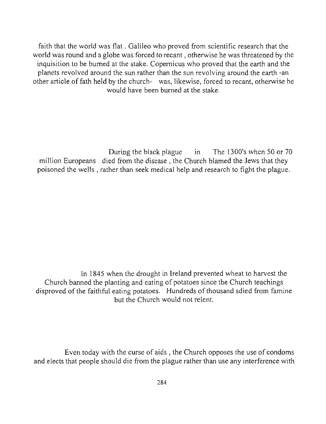faith that the world was flat. Galileo who proved from scientific research that the world was round and a globe was forced to recant, otherwise he was threatened by the inquisition to be burned at the stake. Copernicus who proved that the earth and the planets revolved around the sun rather than the sun revolving around the earth -an other article of fath held by the church- was, likewise, forced to recant, otherwise he would have been burned at the stake.

During the black plague in The 1300's when 50 or 70 million Europeans died from the disease , the Church blamed the Jews that they poisoned the wells, rather than seek medical help and research to fight the plague.

In 1845 when the drought in Ireland prevented wheat to harvest the Church banned the planting and eating of potatoes since the Church teachings disproved of the faithful eating potatoes. Hundreds of thousand sdied from famine but the Church would not relent.

Even today with the curse of aids, the Church opposes the use of condoms and elects that people should die from the plague rather than use any interference with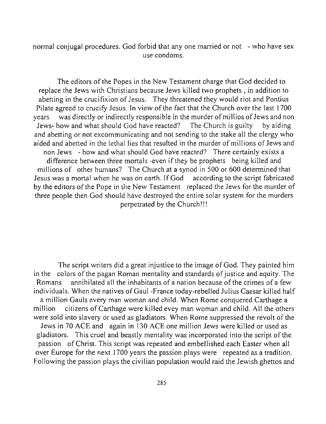normal conjugal procedures. God forbid that any one married or not - who have sex use condoms.

The editors of the Popes in the New Testament charge that God decided to replace the Jews with Christians because Jews killed two prophets, in addition to abetting in the crucifixion of Jesus. They threatened they would riot and Pontius Pilate agreed to crucify Jesus. In view of the fact that the Church over the last 1700 years was directly or indirectly responsible in the murder of millios of Jews and non Jews- how and what should God have reacted? The Church is guilty by aiding and abetting or not excommunicating and not sending to the stake all the clergy who aided and abetted in the lethal lies that resulted in the murder of millions of Jews and non Jews - how and what should God have reacted? There certainly exists a difference between three mortals -even if they be prophets being killed and millions of other humans? The Church at a synod in 500 or 600 determined that Jesus was a mortal when he was on earth. If God according to the script fabricated by the editors of the Pope in the New Testament replaced the Jews for the murder of three people then God should have destroyed the entire solar system for the murders perpetrated by the Church!!!

The script writers did a great injustice to the image of God. They painted him in the colors of the pagan Roman mentality and standards of justice and equity. The Romans annihilated all the inhabitants of a nation because of the crimes of a few individuals. When the natives of Gaul-France today-rebelled Julius Caesar killed half a million Gauls every man woman and child. When Rome conquered Carthage a million citizens of Carthage were killed evey man woman and child. All the others were sold into slavery or used as gladiators. When Rome suppressed the revolt of the Jews in 70 ACE and again in 130 ACE one million Jews were killed or used as gladiators. This cruel and beastly mentality was incorporated into the script of the passion of Christ. This script was repeated and embellished each Easter when all over Europe for the next 1700 years the passion plays were repeated as a tradition. Following the passion plays the civilian population would raid the Jewish ghettos and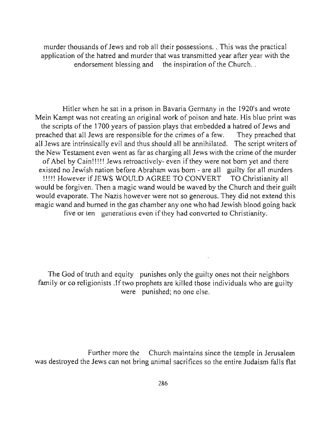murder thousands of Jews and rob all their possessions .. This was the practical application of the hatred and murder that was transmitted year after year with the endorsement blessing and the inspiration of the Church...

Hitler when he sat in a prison in Bavaria Germany in the 1920's and wrote Mein Kampt was not creating an original work of poison and hate. His blue print was the scripts of the 1700 years of passion plays that embedded a hatred of Jews and preached that all Jews are responsible for the crimes of a few. They preached that all Jews are intrinsically evil and thus should all be annihilated. The script writers of the New Testament even went as far as charging all Jews with the crime of the murder of Abel by Cain!!!!! Jews retroactively- even if they were not born yet and there existed no Jewish nation before Abraham was born - are all guilty for all murders !!!!! However if JEWS WOULD AGREE TO CONVERT TO Christianity all would be forgiven. Then a magic wand would be waved by the Church and their guilt would evaporate. The Nazis however were not so generous. They did not extend this magic wand and burned in the gas chamber anyone who had Jewish blood going back **five or ten generations even** if they **had converted to Christianity.** 

The God of truth and equity punishes only the guilty ones not their neighbors family or co religionists . If two prophets are killed those individuals who are guilty **were punished; no one else.** 

Further more the Church maintains since the temple in Jerusalem was destroyed the Jews can not bring animal sacrifices so the entire Judaism falls flat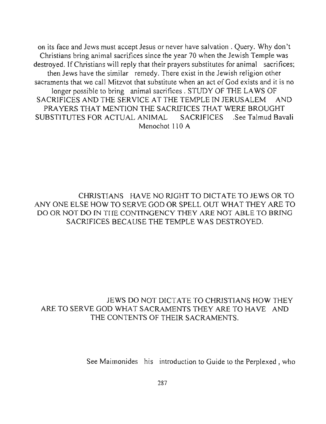on its face and Jews must accept Jesus or never have salvation. Query. Why don't Christians bring animal sacrifices since the year 70 when the Jewish Temple was destroyed. If Christians will reply that their prayers substitutes for animal sacrifices; then Jews have the similar remedy. There exist in the Jewish religion other sacraments that we call Mitzvot that substitute when an act of God exists and it is no longer possible to bring animal sacrifices. STUDY OF THE LAWS OF SACRIFICES AND THE SERVICE AT THE TEMPLE IN JERUSALEM AND PRA YERS THAT MENTION THE SACRIFICES THAT WERE BROUGHT SUBSTITUTES FOR ACTUAL ANIMAL SACRIFICES .See Talmud Bavali Menochot 110 A

CHRISTIANS HAVE NO RIGHT TO DICTATE TO JEWS OR TO ANY ONE ELSE HOW TO SERVE GOD OR SPELL OUT WHAT THEY ARE TO DO OR NOT DO IN THE CONTINGENCY THEY ARE NOT ABLE TO BRING SACRIFICES BECAUSE THE TEMPLE WAS DESTROYED.

## JEWS DO NOT DICTATE TO CHRISTIANS HOW THEY ARE TO SERVE GOD WHAT SACRAMENTS THEY ARE TO HAVE AND THE CONTENTS OF THEIR SACRAMENTS.

See Maimonides his introduction to Guide to the Perplexed , who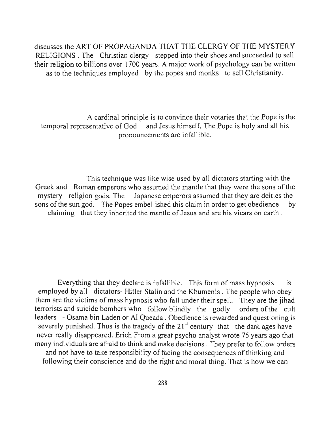discusses the ART OF PROPAGANDA THAT THE CLERGY OF THE MYSTERY RELIGIONS. The Christian clergy stepped into their shoes and succeeded to sell their religion to billions over 1700 years. A major work of psychology can be written as to the techniques employed by the popes and monks to sell Christianity.

A cardinal principle is to convince their votaries that the Pope is the temporal representative of God and Jesus himself. The Pope is holy and all his pronouncements are infallible.

This technique was like wise used by all dictators starting with the Greek and Roman emperors who assumed the mantle that they were the sons of the mystery religion gods. The Japanese emperors assumed that they are deities the sons of the sun god. The Popes embellished this claim in order to get obedience by **claiming that they inherited the mantle of Jesus and are his vicars on earth.** 

Everything that they declare is infallible. This form of mass hypnosis is employed by all dictators- Hitler Stalin and the Khumenis . The people who obey them are the victims of mass hypnosis who fall under their spell. They are the jihad terrorists and suicide bombers who follow blindly the godly orders of the cult leaders - Osama bin Laden or Al Queada . Obedience is rewarded and questioning is severely punished. Thus is the tragedy of the  $21<sup>st</sup>$  century- that the dark ages have never really disappeared. Erich From a great psycho analyst wrote 75 years ago that many individuals are afraid to think and make decisions. They prefer to follow orders and not have to take responsibility of facing the consequences of thinking and following their conscience and do the right and moral thing. That is how we can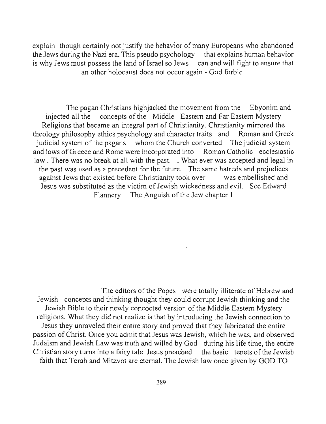explain -though certainly not justify the behavior of many Europeans who abandoned the Jews during the Nazi era. This pseudo psychology that explains human behavior is why Jews must possess the land of Israel so Jews can and will fight to ensure that an other holocaust does not occur again - God forbid.

The pagan Christians highjacked the movement from the Ebyonim and injected all the concepts of the Middle Eastern and Far Eastern Mystery Religions that became an integral part of Christianity. Christianity mirrored the theology philosophy ethics psychology and character traits and Roman and Greek judicial system of the pagans whom the Church converted. The judicial system and laws of Greece and Rome were incorporated into Roman Catholic ecclesiastic law. There was no break at all with the past. . What ever was accepted and legal in the past was used as a precedent for the future. The same hatreds and prejudices against Jews that existed before Christianity took over was embellished and Jesus was substituted as the victim of Jewish wickedness and evil. See Edward Flannery The Anguish of the Jew chapter I

The editors of the Popes were totally illiterate of Hebrew and Jewish concepts and thinking thought they could corrupt Jewish thinking and the Jewish Bible to their newly concocted version of the Middle Eastern Mystery religions. What they did not realize is that by introducing the Jewish connection to Jesus they unraveled their entire story and proved that they fabricated the entire passion of Christ. Once you admit that Jesus was Jewish, which he was, and observed Judaism and Jewish Law was truth and willed by God during his life time, the entire Christian story turns into a fairy tale. Jesus preached the basic tenets of the Jewish faith that Torah and Mitzvot are eternal. The Jewish law once given by GOD TO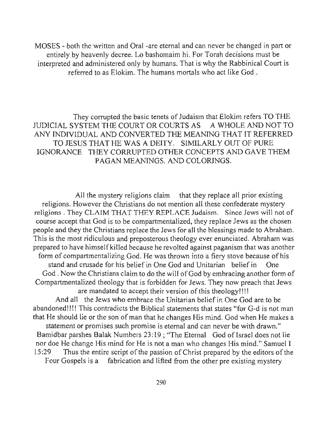MOSES - both the written and Oral -are eternal and can never be changed in part or entirely by heavenly decree. Lo bashomaim hi. For Torah decisions must be interpreted and administered only by humans. That is why the Rabbinical Court is referred to as Elokim. The humans mortals who act like God.

They corrupted the basic tenets of Judaism that Elokim refers TO THE JUDICIAL SYSTEM THE COURT OR COURTS AS A WHOLE AND NOT TO ANY INDIVIDUAL AND CONYER TED THE MEANING THAT IT REFERRED TO JESUS THAT HE WAS A DEITY. SIMILARLY OUT OF PURE IGNORANCE THEY CORRUPTED OTHER CONCEPTS AND GAVE THEM PAGAN MEANINGS. AND COLORINGS.

All the mystery religions claim that they replace all prior existing religions. However the Christians do not mention all these confederate mystery religions. They CLAIM THAT THEY REPLACE Judaism. Since Jews will not of course accept that God is to be compartmentalized, they replace Jews as the chosen people and they the Christians replace the Jews for all the blessings made to Abraham. This is the most ridiculous and preposterous theology ever enunciated. Abraham was prepared to have himself killed because he revolted against paganism that was another form of compartmentalizing God. He was thrown into a fiery stove because of his stand and crusade for his belief in One God and Unitarian belief in One God. Now the Christians claim to do the will of God by embracing another form of Compartmentalized theology that is forbidden for Jews. They now preach that Jews are mandated to accept their version of this theology!!!! And all the Jews who embrace the Unitarian belief in One God are to be abandoned!!!! This contradicts the Biblical statements that states "for G-d is not man that He should lie or the son of man that he changes His mind. God when He makes a **statement or promises such promise is eternal and can never be with drawn."** 

Bamidbar parshes Balak Numbers 23:19; "The Eternal God of Israel does not lie nor doe He change His mind for He is not a man who changes His mind." Samuel I 15:29 Thus the entire script of the passion of Christ prepared by the editors of the

Four Gospels is a fabrication and lifted from the other pre existing mystery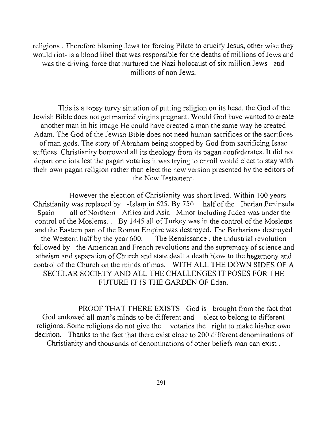religions. Therefore blaming Jews for forcing Pilate to crucify Jesus, other wise they would riot- is a blood libel that was responsible for the deaths of millions of Jews and was the driving force that nurtured the Nazi holocaust of six million Jews and millions of non Jews.

This is a topsy turvy situation of putting religion on its head. the God of the Jewish Bible does not get married virgins pregnant. Would God have wanted to create another man in his image He could have created a man the same way he created Adam. The God of the Jewish Bible does not need human sacrifices or the sacrifices of man gods. The story of Abraham being stopped by God from sacrificing Isaac suffices. Christianity borrowed all its theology from its pagan confederates. It did not depart one iota lest the pagan votaries it was trying to enroll would elect to stay with their own pagan religion rather than elect the new version presented by the editors of the New Testament.

However the election of Christianiry was short lived. Within 100 years Christianity was replaced by -Islam in 625. By 750 half of the Iberian Peninsula Spain all of Northern Africa and Asia Minor including Judea was under the control of the Moslems.. By 1445 all of Turkey was in the control of the Moslems and the Eastern part of the Roman Empire was destroyed. The Barbarians destroyed the Western half by the year 600. The Renaissance, the industrial revolution followed by the American and French revolutions and the supremacy of science and atheism and separation of Church and state dealt a death blow to the hegemony and control of the Church on the minds of man. WITH ALL THE DOWN SIDES OF A SECULAR SOCIETY AND ALL THE CHALLENGES **IT** POSES FOR THE FUTURE IT IS THE GARDEN OF Edan.

PROOF THAT THERE EXISTS God is brought from the fact that God endowed all man's minds to be different and elect to belong to different religions. Some religions do not give the votaries the right to make hislher own decision. Thanks to the fact that there exist close to 200 different denominations of Christianity and thousands of denominations of other beliefs man can exist.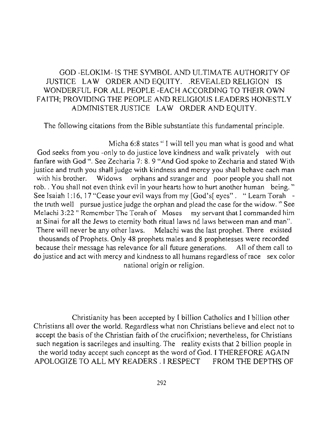## GOD -ELOKIM- IS THE SYMBOL AND ULTIMATE AUTHORlTY OF JUSTICE LAW ORDER AND EQUITY. .REVEALED RELIGION IS WONDERFUL FOR ALL PEOPLE -EACH ACCORDING TO THEIR OWN FAITH; PROVIDING THE PEOPLE AND RELIGIOUS LEADERS HONESTLY ADMINISTER JUSTICE LAW ORDER AND EQUITY.

The following citations from the Bible substantiate this fundamental principle.

Micha 6:8 states "I will tell you man what is good and what God seeks from you -only to do justice love kindness and walk privately with out fanfare with God ". See Zecharia 7: 8. 9 "And God spoke to Zecharia and stated With justice and truth you shall judge with kindness and mercy you shall behave each man with his brother. Widows orphans and stranger and poor people you shall not rob. You shall not even think evil in your hearts how to hurt another human being." See Isaiah 1:16, 17 "Cease your evil ways from my [God's[ eyes". "Learn Torah the truth well pursue justice judge the orphan and plead the case for the widow. " See **Melachi 3:22 "Remember The Torah of Moses my servant that I commanded him**  at Sinai for all the Jews to eternity both ritual laws nd laws between man and man". There will never be any other laws. Melachi was the last prophet. There existed thousands of Prophets. Only 48 prophets males and 8 prophetesses were recorded because their message has relevance for all future generations. All of them call to do justice and act with mercy and kindness to all humans regardless of race sex color national origin or religion.

Christianity has been accepted by I billion Catholics and I billion other Christians all over the world. Regardless what non Christians believe and elect not to accept the basis of the Christian faith of the crucifixion; nevertheless, for Christians such negation is sacrileges and insulting. The reality exists that 2 billion people in the world today accept such concept as the word of God. I THEREFORE AGAIN APOLOGIZE TO ALL MY READERS. I RESPECT FROM THE DEPTHS OF